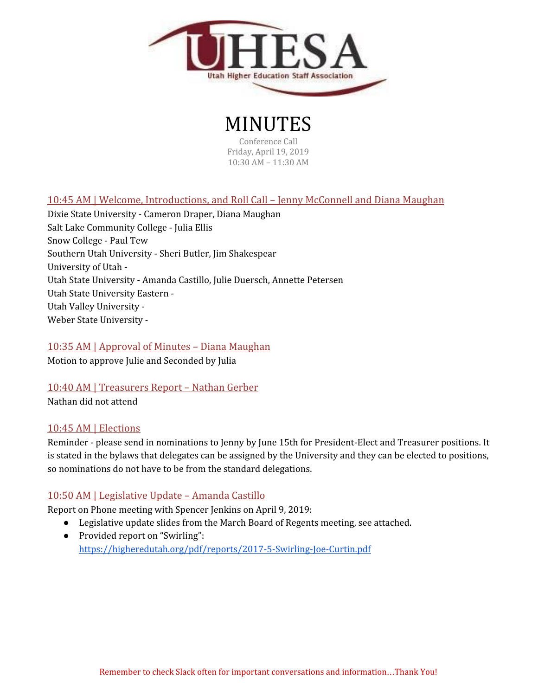

# MINUTES

Conference Call Friday, April 19, 2019 10:30 AM – 11:30 AM

# 10:45 AM | Welcome, Introductions, and Roll Call – Jenny McConnell and Diana Maughan

Dixie State University - Cameron Draper, Diana Maughan Salt Lake Community College - Julia Ellis Snow College - Paul Tew Southern Utah University - Sheri Butler, Jim Shakespear University of Utah - Utah State University - Amanda Castillo, Julie Duersch, Annette Petersen Utah State University Eastern - Utah Valley University - Weber State University -

## 10:35 AM | Approval of Minutes – Diana Maughan

Motion to approve Julie and Seconded by Julia

#### 10:40 AM | Treasurers Report – Nathan Gerber

Nathan did not attend

#### 10:45 AM | Elections

Reminder - please send in nominations to Jenny by June 15th for President-Elect and Treasurer positions. It is stated in the bylaws that delegates can be assigned by the University and they can be elected to positions, so nominations do not have to be from the standard delegations.

#### 10:50 AM | Legislative Update – Amanda Castillo

Report on Phone meeting with Spencer Jenkins on April 9, 2019:

- Legislative update slides from the March Board of Regents meeting, see attached.
- Provided report on "Swirling": <https://higheredutah.org/pdf/reports/2017-5-Swirling-Joe-Curtin.pdf>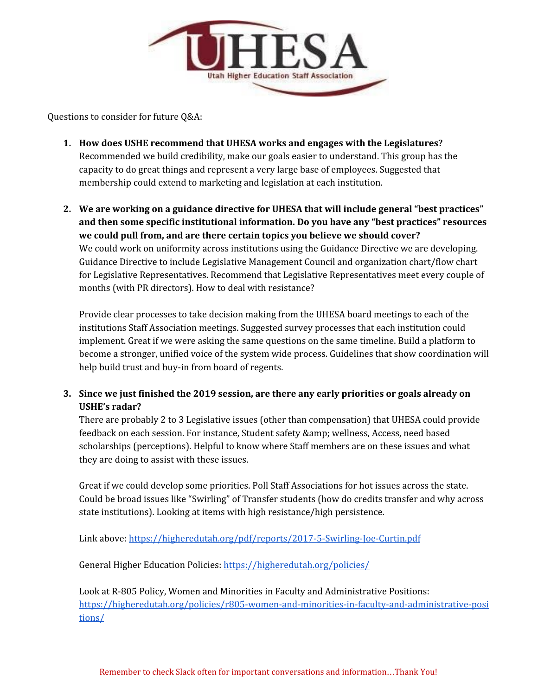

Questions to consider for future Q&A:

- **1. How does USHE recommend that UHESA works and engages with the Legislatures?** Recommended we build credibility, make our goals easier to understand. This group has the capacity to do great things and represent a very large base of employees. Suggested that membership could extend to marketing and legislation at each institution.
- **2. We are working on a guidance directive for UHESA that will include general "best practices" and then some specific institutional information. Do you have any "best practices" resources we could pull from, and are there certain topics you believe we should cover?** We could work on uniformity across institutions using the Guidance Directive we are developing. Guidance Directive to include Legislative Management Council and organization chart/flow chart for Legislative Representatives. Recommend that Legislative Representatives meet every couple of months (with PR directors). How to deal with resistance?

Provide clear processes to take decision making from the UHESA board meetings to each of the institutions Staff Association meetings. Suggested survey processes that each institution could implement. Great if we were asking the same questions on the same timeline. Build a platform to become a stronger, unified voice of the system wide process. Guidelines that show coordination will help build trust and buy-in from board of regents.

## **3. Since we just finished the 2019 session, are there any early priorities or goals already on USHE's radar?**

There are probably 2 to 3 Legislative issues (other than compensation) that UHESA could provide feedback on each session. For instance, Student safety & wellness, Access, need based scholarships (perceptions). Helpful to know where Staff members are on these issues and what they are doing to assist with these issues.

Great if we could develop some priorities. Poll Staff Associations for hot issues across the state. Could be broad issues like "Swirling" of Transfer students (how do credits transfer and why across state institutions). Looking at items with high resistance/high persistence.

Link above: <https://higheredutah.org/pdf/reports/2017-5-Swirling-Joe-Curtin.pdf>

General Higher Education Policies: <https://higheredutah.org/policies/>

Look at R-805 Policy, Women and Minorities in Faculty and Administrative Positions: [https://higheredutah.org/policies/r805-women-and-minorities-in-faculty-and-administrative-posi](https://higheredutah.org/policies/r805-women-and-minorities-in-faculty-and-administrative-positions/) [tions/](https://higheredutah.org/policies/r805-women-and-minorities-in-faculty-and-administrative-positions/)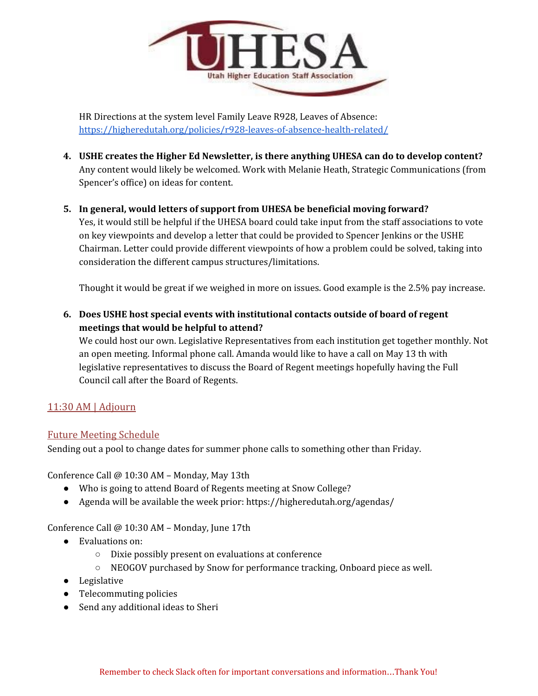

HR Directions at the system level Family Leave R928, Leaves of Absence: <https://higheredutah.org/policies/r928-leaves-of-absence-health-related/>

- **4. USHE creates the Higher Ed Newsletter, is there anything UHESA can do to develop content?** Any content would likely be welcomed. Work with Melanie Heath, Strategic Communications (from Spencer's office) on ideas for content.
- **5. In general, would letters of support from UHESA be beneficial moving forward?** Yes, it would still be helpful if the UHESA board could take input from the staff associations to vote on key viewpoints and develop a letter that could be provided to Spencer Jenkins or the USHE Chairman. Letter could provide different viewpoints of how a problem could be solved, taking into consideration the different campus structures/limitations.

Thought it would be great if we weighed in more on issues. Good example is the 2.5% pay increase.

**6. Does USHE host special events with institutional contacts outside of board of regent meetings that would be helpful to attend?**

We could host our own. Legislative Representatives from each institution get together monthly. Not an open meeting. Informal phone call. Amanda would like to have a call on May 13 th with legislative representatives to discuss the Board of Regent meetings hopefully having the Full Council call after the Board of Regents.

## 11:30 AM | Adjourn

#### Future Meeting Schedule

Sending out a pool to change dates for summer phone calls to something other than Friday.

Conference Call @ 10:30 AM – Monday, May 13th

- Who is going to attend Board of Regents meeting at Snow College?
- Agenda will be available the week prior: https://higheredutah.org/agendas/

Conference Call @ 10:30 AM – Monday, June 17th

- Evaluations on:
	- Dixie possibly present on evaluations at conference
	- NEOGOV purchased by Snow for performance tracking, Onboard piece as well.
- Legislative
- Telecommuting policies
- Send any additional ideas to Sheri